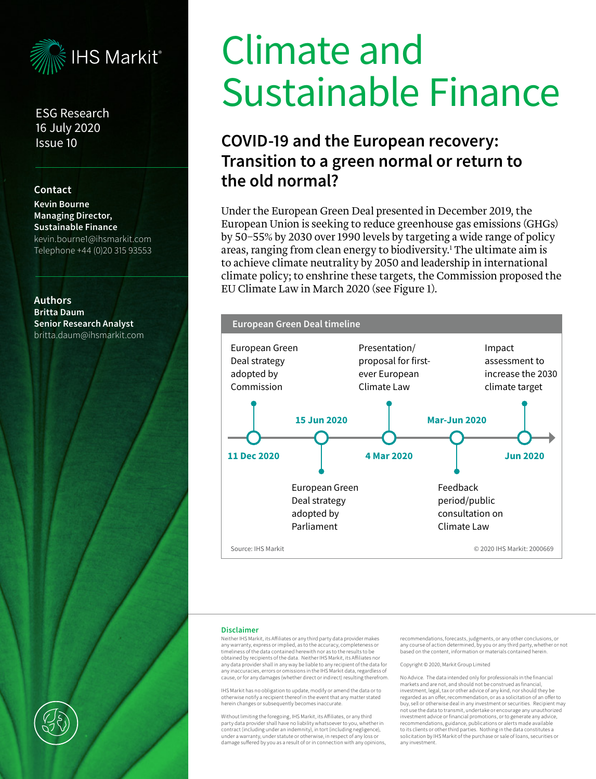

ESG Research 16 July 2020 Issue 10

#### **Contact**

**Kevin Bourne Managing Director, Sustainable Finance** kevin.bourne1@ihsmarkit.com Telephone +44 (0)20 315 93553

**Authors Britta Daum Senior Research Analyst** britta.daum@ihsmarkit.com

# Climate and Sustainable Finance

# **COVID-19 and the European recovery: Transition to a green normal or return to the old normal?**

Under the European Green Deal presented in December 2019, the European Union is seeking to reduce greenhouse gas emissions (GHGs) by 50–55% by 2030 over 1990 levels by targeting a wide range of policy areas, ranging from clean energy to biodiversity. $^{\rm 1}$  The ultimate aim is to achieve climate neutrality by 2050 and leadership in international climate policy; to enshrine these targets, the Commission proposed the EU Climate Law in March 2020 (see Figure 1).



#### **Disclaimer**

Neither IHS Markit, its Affiliates or any third party data provider makes any warranty, express or implied, as to the accuracy, completeness or timeliness of the data contained herewith nor as to the results to be obtained by recipients of the data. Neither IHS Markit, its Affiliates nor any data provider shall in any way be liable to any recipient of the data for any inaccuracies, errors or omissions in the IHS Markit data, regardless of cause, or for any damages (whether direct or indirect) resulting therefrom.

IHS Markit has no obligation to update, modify or amend the data or to otherwise notify a recipient thereof in the event that any matter stated herein changes or subsequently becomes inaccurate.

Without limiting the foregoing, IHS Markit, its Affiliates, or any third party data provider shall have no liability whatsoever to you, whether in contract (including under an indemnity), in tort (including negligence), under a warranty, under statute or otherwise, in respect of any loss or damage suffered by you as a result of or in connection with any opinions, recommendations, forecasts, judgments, or any other conclusions, or any course of action determined, by you or any third party, whether or not based on the content, information or materials contained herein.

#### Copyright © 2020, Markit Group Limited

No Advice. The data intended only for professionals in the financial markets and are not, and should not be construed as financial, investment, legal, tax or other advice of any kind, nor should they be regarded as an offer, recommendation, or as a solicitation of an offer to buy, sell or otherwise deal in any investment or securities. Recipient may not use the data to transmit, undertake or encourage any unauthorized investment advice or financial promotions, or to generate any advice, recommendations, guidance, publications or alerts made available to its clients or other third parties. Nothing in the data constitutes a solicitation by IHS Markit of the purchase or sale of loans, securities or any investment.

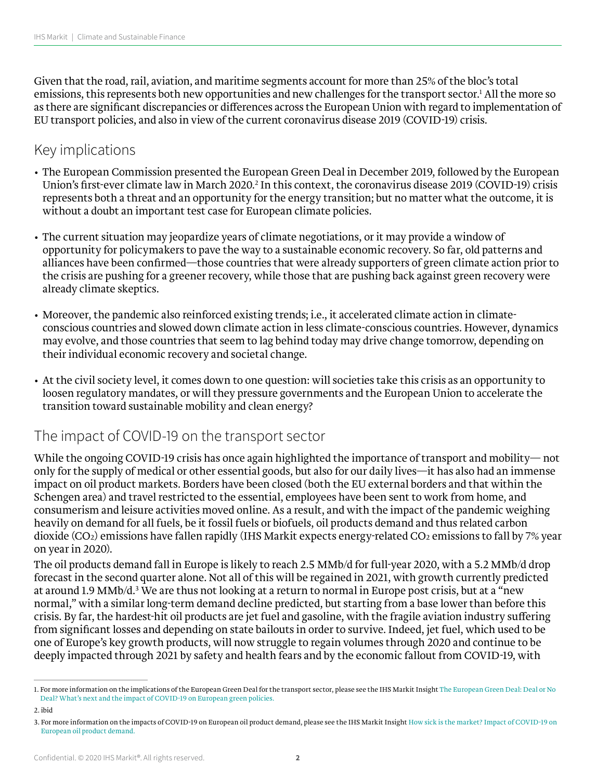Given that the road, rail, aviation, and maritime segments account for more than 25% of the bloc's total emissions, this represents both new opportunities and new challenges for the transport sector.1 All the more so as there are significant discrepancies or differences across the European Union with regard to implementation of EU transport policies, and also in view of the current coronavirus disease 2019 (COVID-19) crisis.

## Key implications

- The European Commission presented the European Green Deal in December 2019, followed by the European Union's first-ever climate law in March 2020.<sup>2</sup> In this context, the coronavirus disease 2019 (COVID-19) crisis represents both a threat and an opportunity for the energy transition; but no matter what the outcome, it is without a doubt an important test case for European climate policies.
- The current situation may jeopardize years of climate negotiations, or it may provide a window of opportunity for policymakers to pave the way to a sustainable economic recovery. So far, old patterns and alliances have been confirmed—those countries that were already supporters of green climate action prior to the crisis are pushing for a greener recovery, while those that are pushing back against green recovery were already climate skeptics.
- Moreover, the pandemic also reinforced existing trends; i.e., it accelerated climate action in climateconscious countries and slowed down climate action in less climate-conscious countries. However, dynamics may evolve, and those countries that seem to lag behind today may drive change tomorrow, depending on their individual economic recovery and societal change.
- At the civil society level, it comes down to one question: will societies take this crisis as an opportunity to loosen regulatory mandates, or will they pressure governments and the European Union to accelerate the transition toward sustainable mobility and clean energy?

## The impact of COVID-19 on the transport sector

While the ongoing COVID-19 crisis has once again highlighted the importance of transport and mobility— not only for the supply of medical or other essential goods, but also for our daily lives—it has also had an immense impact on oil product markets. Borders have been closed (both the EU external borders and that within the Schengen area) and travel restricted to the essential, employees have been sent to work from home, and consumerism and leisure activities moved online. As a result, and with the impact of the pandemic weighing heavily on demand for all fuels, be it fossil fuels or biofuels, oil products demand and thus related carbon dioxide (CO2) emissions have fallen rapidly (IHS Markit expects energy-related CO2 emissions to fall by 7% year on year in 2020).

The oil products demand fall in Europe is likely to reach 2.5 MMb/d for full-year 2020, with a 5.2 MMb/d drop forecast in the second quarter alone. Not all of this will be regained in 2021, with growth currently predicted at around 1.9 MMb/d.<sup>3</sup> We are thus not looking at a return to normal in Europe post crisis, but at a "new normal," with a similar long-term demand decline predicted, but starting from a base lower than before this crisis. By far, the hardest-hit oil products are jet fuel and gasoline, with the fragile aviation industry suffering from significant losses and depending on state bailouts in order to survive. Indeed, jet fuel, which used to be one of Europe's key growth products, will now struggle to regain volumes through 2020 and continue to be deeply impacted through 2021 by safety and health fears and by the economic fallout from COVID-19, with

2. ibid

<sup>1.</sup> For more information on the implications of the European Green Deal for the transport sector, please see the IHS Markit Insight [The European Green Deal: Deal or No](https://my.ihs.com/Connect?callingUrl=https%3a%2f%2fconnect.ihsmarkit.com%2fdocument%2fshow%2fphoenix%2f2747153)  [Deal? What's next and the impact of COVID-19 on European green policies.](https://my.ihs.com/Connect?callingUrl=https%3a%2f%2fconnect.ihsmarkit.com%2fdocument%2fshow%2fphoenix%2f2747153)

<sup>3.</sup> For more information on the impacts of COVID-19 on European oil product demand, please see the IHS Markit Insight [How sick is the market? Impact of COVID-19 on](https://my.ihs.com/Connect?callingUrl=https%3a%2f%2fconnect.ihsmarkit.com%2fDocument%2fShow%2fphoenix%2f2734867)  [European oil product demand.](https://my.ihs.com/Connect?callingUrl=https%3a%2f%2fconnect.ihsmarkit.com%2fDocument%2fShow%2fphoenix%2f2734867)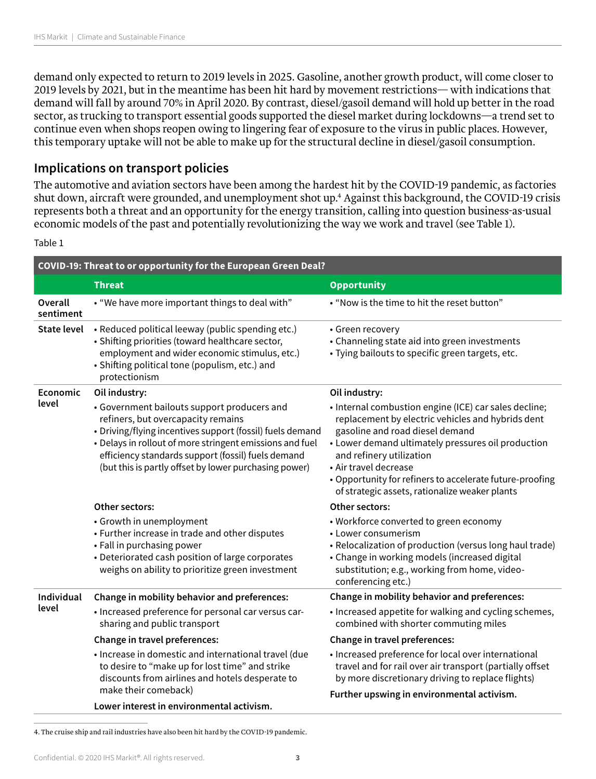demand only expected to return to 2019 levels in 2025. Gasoline, another growth product, will come closer to 2019 levels by 2021, but in the meantime has been hit hard by movement restrictions— with indications that demand will fall by around 70% in April 2020. By contrast, diesel/gasoil demand will hold up better in the road sector, as trucking to transport essential goods supported the diesel market during lockdowns—a trend set to continue even when shops reopen owing to lingering fear of exposure to the virus in public places. However, this temporary uptake will not be able to make up for the structural decline in diesel/gasoil consumption.

## **Implications on transport policies**

The automotive and aviation sectors have been among the hardest hit by the COVID-19 pandemic, as factories shut down, aircraft were grounded, and unemployment shot up.<sup>4</sup> Against this background, the COVID-19 crisis represents both a threat and an opportunity for the energy transition, calling into question business-as-usual economic models of the past and potentially revolutionizing the way we work and travel (see Table 1).

#### Table 1

| COVID-19: Threat to or opportunity for the European Green Deal? |                                                                                                                                                                                                                                                                                                                           |                                                                                                                                                                                                                                                                                                                                                                        |
|-----------------------------------------------------------------|---------------------------------------------------------------------------------------------------------------------------------------------------------------------------------------------------------------------------------------------------------------------------------------------------------------------------|------------------------------------------------------------------------------------------------------------------------------------------------------------------------------------------------------------------------------------------------------------------------------------------------------------------------------------------------------------------------|
|                                                                 | <b>Threat</b>                                                                                                                                                                                                                                                                                                             | <b>Opportunity</b>                                                                                                                                                                                                                                                                                                                                                     |
| Overall<br>sentiment                                            | • "We have more important things to deal with"                                                                                                                                                                                                                                                                            | • "Now is the time to hit the reset button"                                                                                                                                                                                                                                                                                                                            |
| <b>State level</b>                                              | • Reduced political leeway (public spending etc.)<br>• Shifting priorities (toward healthcare sector,<br>employment and wider economic stimulus, etc.)<br>· Shifting political tone (populism, etc.) and<br>protectionism                                                                                                 | • Green recovery<br>• Channeling state aid into green investments<br>· Tying bailouts to specific green targets, etc.                                                                                                                                                                                                                                                  |
| Economic                                                        | Oil industry:                                                                                                                                                                                                                                                                                                             | Oil industry:                                                                                                                                                                                                                                                                                                                                                          |
| level                                                           | • Government bailouts support producers and<br>refiners, but overcapacity remains<br>• Driving/flying incentives support (fossil) fuels demand<br>• Delays in rollout of more stringent emissions and fuel<br>efficiency standards support (fossil) fuels demand<br>(but this is partly offset by lower purchasing power) | • Internal combustion engine (ICE) car sales decline;<br>replacement by electric vehicles and hybrids dent<br>gasoline and road diesel demand<br>• Lower demand ultimately pressures oil production<br>and refinery utilization<br>• Air travel decrease<br>• Opportunity for refiners to accelerate future-proofing<br>of strategic assets, rationalize weaker plants |
|                                                                 | Other sectors:                                                                                                                                                                                                                                                                                                            | Other sectors:                                                                                                                                                                                                                                                                                                                                                         |
|                                                                 | • Growth in unemployment<br>• Further increase in trade and other disputes<br>• Fall in purchasing power<br>• Deteriorated cash position of large corporates<br>weighs on ability to prioritize green investment                                                                                                          | • Workforce converted to green economy<br>$\bullet$ Lower consumerism<br>• Relocalization of production (versus long haul trade)<br>• Change in working models (increased digital<br>substitution; e.g., working from home, video-<br>conferencing etc.)                                                                                                               |
| Individual                                                      | Change in mobility behavior and preferences:                                                                                                                                                                                                                                                                              | Change in mobility behavior and preferences:                                                                                                                                                                                                                                                                                                                           |
| level                                                           | • Increased preference for personal car versus car-<br>sharing and public transport                                                                                                                                                                                                                                       | • Increased appetite for walking and cycling schemes,<br>combined with shorter commuting miles                                                                                                                                                                                                                                                                         |
|                                                                 | Change in travel preferences:                                                                                                                                                                                                                                                                                             | Change in travel preferences:                                                                                                                                                                                                                                                                                                                                          |
|                                                                 | · Increase in domestic and international travel (due<br>to desire to "make up for lost time" and strike<br>discounts from airlines and hotels desperate to<br>make their comeback)                                                                                                                                        | • Increased preference for local over international<br>travel and for rail over air transport (partially offset<br>by more discretionary driving to replace flights)<br>Further upswing in environmental activism.                                                                                                                                                     |
|                                                                 | Lower interest in environmental activism.                                                                                                                                                                                                                                                                                 |                                                                                                                                                                                                                                                                                                                                                                        |

4. The cruise ship and rail industries have also been hit hard by the COVID-19 pandemic.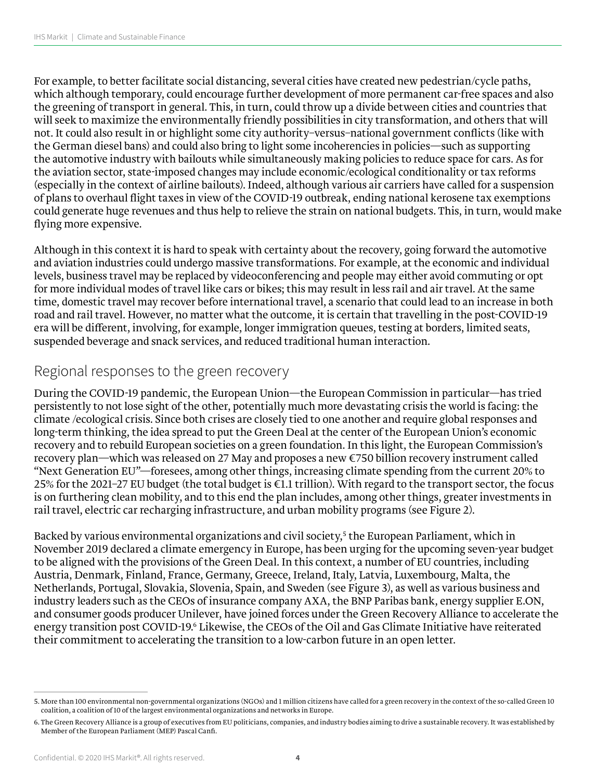For example, to better facilitate social distancing, several cities have created new pedestrian/cycle paths, which although temporary, could encourage further development of more permanent car-free spaces and also the greening of transport in general. This, in turn, could throw up a divide between cities and countries that will seek to maximize the environmentally friendly possibilities in city transformation, and others that will not. It could also result in or highlight some city authority–versus–national government conflicts (like with the German diesel bans) and could also bring to light some incoherencies in policies—such as supporting the automotive industry with bailouts while simultaneously making policies to reduce space for cars. As for the aviation sector, state-imposed changes may include economic/ecological conditionality or tax reforms (especially in the context of airline bailouts). Indeed, although various air carriers have called for a suspension of plans to overhaul flight taxes in view of the COVID-19 outbreak, ending national kerosene tax exemptions could generate huge revenues and thus help to relieve the strain on national budgets. This, in turn, would make flying more expensive.

Although in this context it is hard to speak with certainty about the recovery, going forward the automotive and aviation industries could undergo massive transformations. For example, at the economic and individual levels, business travel may be replaced by videoconferencing and people may either avoid commuting or opt for more individual modes of travel like cars or bikes; this may result in less rail and air travel. At the same time, domestic travel may recover before international travel, a scenario that could lead to an increase in both road and rail travel. However, no matter what the outcome, it is certain that travelling in the post-COVID-19 era will be different, involving, for example, longer immigration queues, testing at borders, limited seats, suspended beverage and snack services, and reduced traditional human interaction.

## Regional responses to the green recovery

During the COVID-19 pandemic, the European Union—the European Commission in particular—has tried persistently to not lose sight of the other, potentially much more devastating crisis the world is facing: the climate /ecological crisis. Since both crises are closely tied to one another and require global responses and long-term thinking, the idea spread to put the Green Deal at the center of the European Union's economic recovery and to rebuild European societies on a green foundation. In this light, the European Commission's recovery plan—which was released on 27 May and proposes a new €750 billion recovery instrument called "Next Generation EU"—foresees, among other things, increasing climate spending from the current 20% to 25% for the 2021–27 EU budget (the total budget is €1.1 trillion). With regard to the transport sector, the focus is on furthering clean mobility, and to this end the plan includes, among other things, greater investments in rail travel, electric car recharging infrastructure, and urban mobility programs (see Figure 2).

Backed by various environmental organizations and civil society,<sup>5</sup> the European Parliament, which in November 2019 declared a climate emergency in Europe, has been urging for the upcoming seven-year budget to be aligned with the provisions of the Green Deal. In this context, a number of EU countries, including Austria, Denmark, Finland, France, Germany, Greece, Ireland, Italy, Latvia, Luxembourg, Malta, the Netherlands, Portugal, Slovakia, Slovenia, Spain, and Sweden (see Figure 3), as well as various business and industry leaders such as the CEOs of insurance company AXA, the BNP Paribas bank, energy supplier E.ON, and consumer goods producer Unilever, have joined forces under the Green Recovery Alliance to accelerate the energy transition post COVID-19.<sup>6</sup> Likewise, the CEOs of the Oil and Gas Climate Initiative have reiterated their commitment to accelerating the transition to a low-carbon future in an open letter.

<sup>5.</sup> More than 100 environmental non-governmental organizations (NGOs) and 1 million citizens have called for a green recovery in the context of the so-called Green 10 coalition, a coalition of 10 of the largest environmental organizations and networks in Europe.

<sup>6.</sup> The Green Recovery Alliance is a group of executives from EU politicians, companies, and industry bodies aiming to drive a sustainable recovery. It was established by Member of the European Parliament (MEP) Pascal Canfi.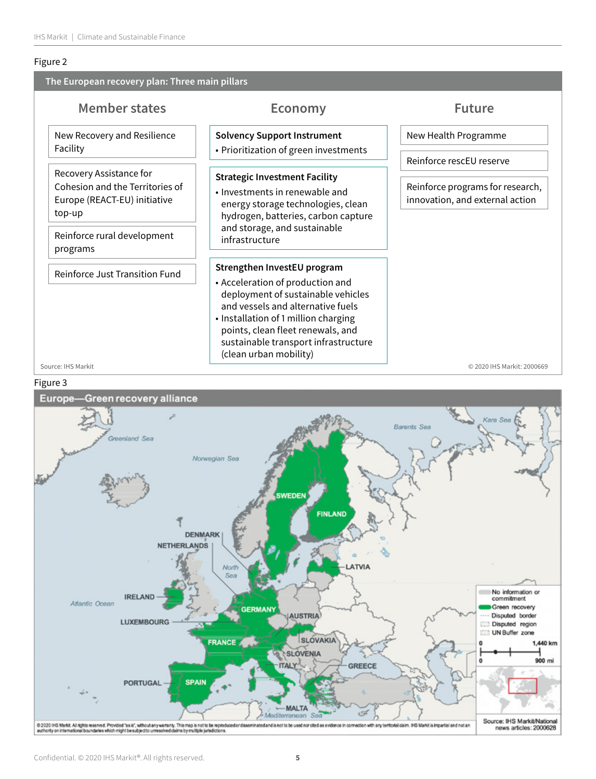#### Figure 2

| <b>Future</b><br><b>Economy</b><br><b>Solvency Support Instrument</b><br>New Health Programme                                                                                                                                                                   |
|-----------------------------------------------------------------------------------------------------------------------------------------------------------------------------------------------------------------------------------------------------------------|
|                                                                                                                                                                                                                                                                 |
| • Prioritization of green investments                                                                                                                                                                                                                           |
| Reinforce rescEU reserve                                                                                                                                                                                                                                        |
| <b>Strategic Investment Facility</b><br>Reinforce programs for research,<br>• Investments in renewable and<br>innovation, and external action<br>energy storage technologies, clean<br>hydrogen, batteries, carbon capture                                      |
| and storage, and sustainable                                                                                                                                                                                                                                    |
| Strengthen InvestEU program<br>• Acceleration of production and<br>deployment of sustainable vehicles<br>and vessels and alternative fuels<br>• Installation of 1 million charging<br>points, clean fleet renewals, and<br>sustainable transport infrastructure |
|                                                                                                                                                                                                                                                                 |

#### Figure 3

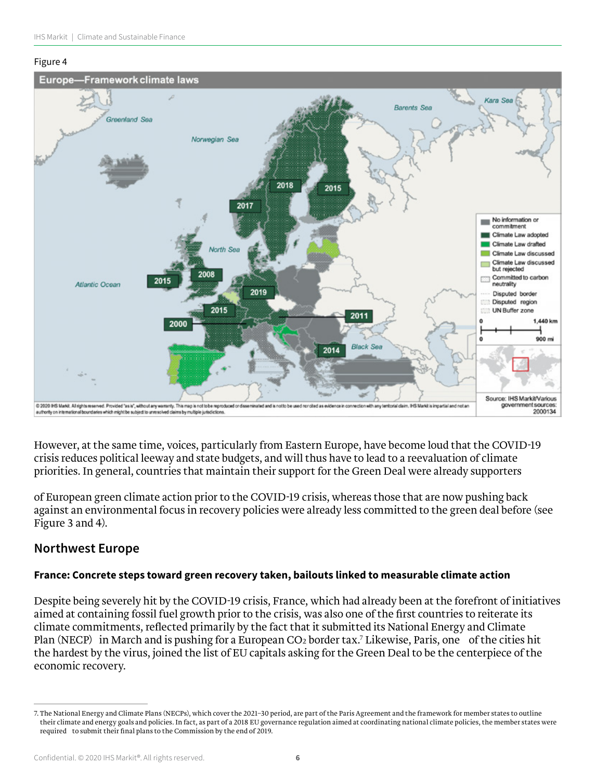#### Figure 4



However, at the same time, voices, particularly from Eastern Europe, have become loud that the COVID-19 crisis reduces political leeway and state budgets, and will thus have to lead to a reevaluation of climate priorities. In general, countries that maintain their support for the Green Deal were already supporters

of European green climate action prior to the COVID-19 crisis, whereas those that are now pushing back against an environmental focus in recovery policies were already less committed to the green deal before (see Figure 3 and 4).

## **Northwest Europe**

#### **France: Concrete steps toward green recovery taken, bailouts linked to measurable climate action**

Despite being severely hit by the COVID-19 crisis, France, which had already been at the forefront of initiatives aimed at containing fossil fuel growth prior to the crisis, was also one of the first countries to reiterate its climate commitments, reflected primarily by the fact that it submitted its National Energy and Climate Plan (NECP) in March and is pushing for a European CO₂ border tax.7 Likewise, Paris, one of the cities hit the hardest by the virus, joined the list of EU capitals asking for the Green Deal to be the centerpiece of the economic recovery.

<sup>7.</sup> The National Energy and Climate Plans (NECPs), which cover the 2021–30 period, are part of the Paris Agreement and the framework for member states to outline their climate and energy goals and policies. In fact, as part of a 2018 EU governance regulation aimed at coordinating national climate policies, the member states were required to submit their final plans to the Commission by the end of 2019.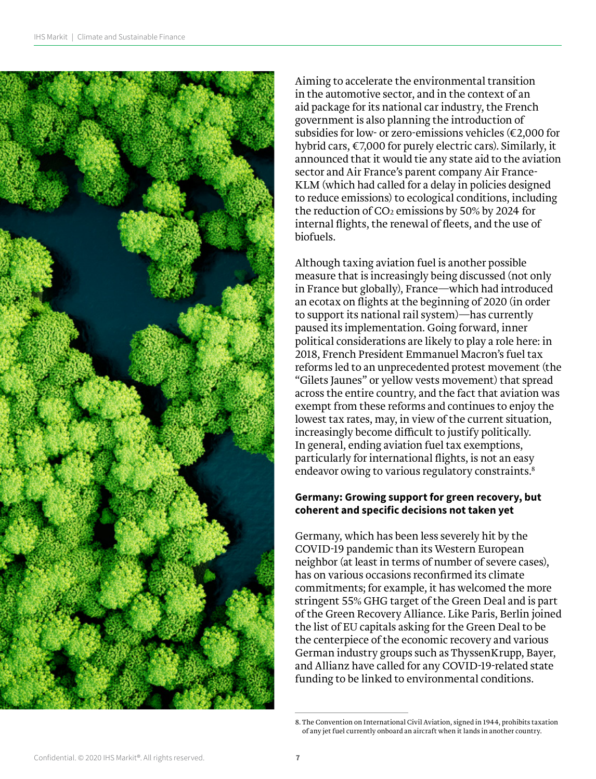

Aiming to accelerate the environmental transition in the automotive sector, and in the context of an aid package for its national car industry, the French government is also planning the introduction of subsidies for low- or zero-emissions vehicles (€2,000 for hybrid cars, €7,000 for purely electric cars). Similarly, it announced that it would tie any state aid to the aviation sector and Air France's parent company Air France-KLM (which had called for a delay in policies designed to reduce emissions) to ecological conditions, including the reduction of CO₂ emissions by 50% by 2024 for internal flights, the renewal of fleets, and the use of biofuels.

Although taxing aviation fuel is another possible measure that is increasingly being discussed (not only in France but globally), France—which had introduced an ecotax on flights at the beginning of 2020 (in order to support its national rail system)—has currently paused its implementation. Going forward, inner political considerations are likely to play a role here: in 2018, French President Emmanuel Macron's fuel tax reforms led to an unprecedented protest movement (the "Gilets Jaunes" or yellow vests movement) that spread across the entire country, and the fact that aviation was exempt from these reforms and continues to enjoy the lowest tax rates, may, in view of the current situation, increasingly become difficult to justify politically. In general, ending aviation fuel tax exemptions, particularly for international flights, is not an easy endeavor owing to various regulatory constraints.<sup>8</sup>

#### **Germany: Growing support for green recovery, but coherent and specific decisions not taken yet**

Germany, which has been less severely hit by the COVID-19 pandemic than its Western European neighbor (at least in terms of number of severe cases), has on various occasions reconfirmed its climate commitments; for example, it has welcomed the more stringent 55% GHG target of the Green Deal and is part of the Green Recovery Alliance. Like Paris, Berlin joined the list of EU capitals asking for the Green Deal to be the centerpiece of the economic recovery and various German industry groups such as ThyssenKrupp, Bayer, and Allianz have called for any COVID-19-related state funding to be linked to environmental conditions.

<sup>8.</sup> The Convention on International Civil Aviation, signed in 1944, prohibits taxation of any jet fuel currently onboard an aircraft when it lands in another country.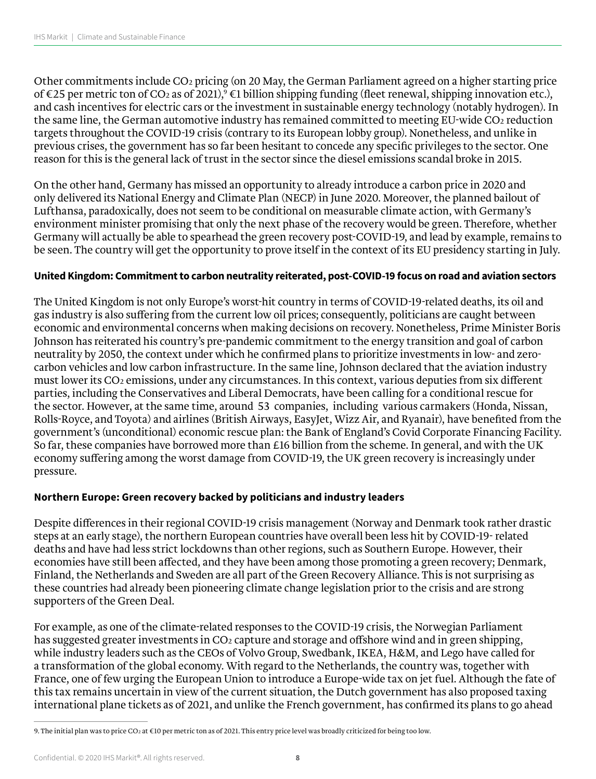Other commitments include CO2 pricing (on 20 May, the German Parliament agreed on a higher starting price of €25 per metric ton of CO2 as of 2021), $^9$  €1 billion shipping funding (fleet renewal, shipping innovation etc.), and cash incentives for electric cars or the investment in sustainable energy technology (notably hydrogen). In the same line, the German automotive industry has remained committed to meeting EU-wide CO2 reduction targets throughout the COVID-19 crisis (contrary to its European lobby group). Nonetheless, and unlike in previous crises, the government has so far been hesitant to concede any specific privileges to the sector. One reason for this is the general lack of trust in the sector since the diesel emissions scandal broke in 2015.

On the other hand, Germany has missed an opportunity to already introduce a carbon price in 2020 and only delivered its National Energy and Climate Plan (NECP) in June 2020. Moreover, the planned bailout of Lufthansa, paradoxically, does not seem to be conditional on measurable climate action, with Germany's environment minister promising that only the next phase of the recovery would be green. Therefore, whether Germany will actually be able to spearhead the green recovery post-COVID-19, and lead by example, remains to be seen. The country will get the opportunity to prove itself in the context of its EU presidency starting in July.

#### **United Kingdom: Commitment to carbon neutrality reiterated, post-COVID-19 focus on road and aviation sectors**

The United Kingdom is not only Europe's worst-hit country in terms of COVID-19-related deaths, its oil and gas industry is also suffering from the current low oil prices; consequently, politicians are caught between economic and environmental concerns when making decisions on recovery. Nonetheless, Prime Minister Boris Johnson has reiterated his country's pre-pandemic commitment to the energy transition and goal of carbon neutrality by 2050, the context under which he confirmed plans to prioritize investments in low- and zerocarbon vehicles and low carbon infrastructure. In the same line, Johnson declared that the aviation industry must lower its CO2 emissions, under any circumstances. In this context, various deputies from six different parties, including the Conservatives and Liberal Democrats, have been calling for a conditional rescue for the sector. However, at the same time, around 53 companies, including various carmakers (Honda, Nissan, Rolls-Royce, and Toyota) and airlines (British Airways, EasyJet, Wizz Air, and Ryanair), have benefited from the government's (unconditional) economic rescue plan: the Bank of England's Covid Corporate Financing Facility. So far, these companies have borrowed more than £16 billion from the scheme. In general, and with the UK economy suffering among the worst damage from COVID-19, the UK green recovery is increasingly under pressure.

#### **Northern Europe: Green recovery backed by politicians and industry leaders**

Despite differences in their regional COVID-19 crisis management (Norway and Denmark took rather drastic steps at an early stage), the northern European countries have overall been less hit by COVID-19- related deaths and have had less strict lockdowns than other regions, such as Southern Europe. However, their economies have still been affected, and they have been among those promoting a green recovery; Denmark, Finland, the Netherlands and Sweden are all part of the Green Recovery Alliance. This is not surprising as these countries had already been pioneering climate change legislation prior to the crisis and are strong supporters of the Green Deal.

For example, as one of the climate-related responses to the COVID-19 crisis, the Norwegian Parliament has suggested greater investments in CO2 capture and storage and offshore wind and in green shipping, while industry leaders such as the CEOs of Volvo Group, Swedbank, IKEA, H&M, and Lego have called for a transformation of the global economy. With regard to the Netherlands, the country was, together with France, one of few urging the European Union to introduce a Europe-wide tax on jet fuel. Although the fate of this tax remains uncertain in view of the current situation, the Dutch government has also proposed taxing international plane tickets as of 2021, and unlike the French government, has confirmed its plans to go ahead

<sup>9.</sup> The initial plan was to price CO2 at €10 per metric ton as of 2021. This entry price level was broadly criticized for being too low.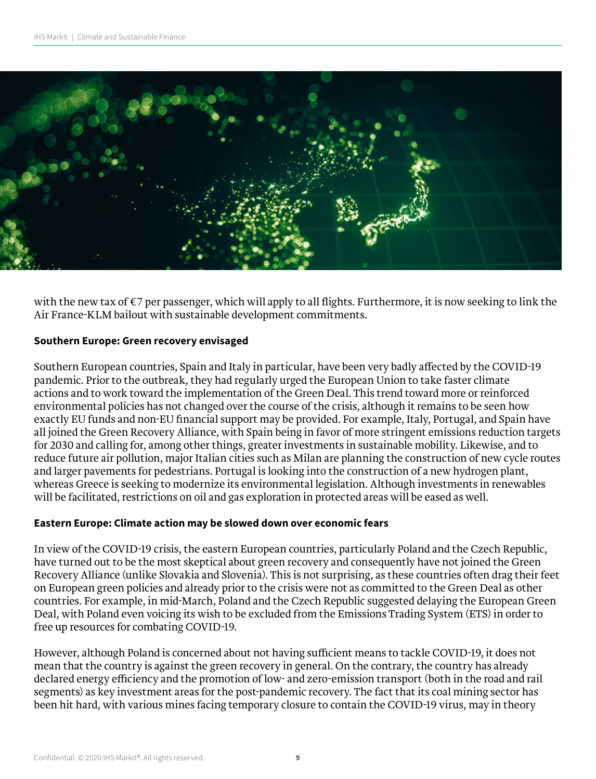

with the new tax of €7 per passenger, which will apply to all flights. Furthermore, it is now seeking to link the Air France-KLM bailout with sustainable development commitments.

#### **Southern Europe: Green recovery envisaged**

Southern European countries, Spain and Italy in particular, have been very badly affected by the COVID-19 pandemic. Prior to the outbreak, they had regularly urged the European Union to take faster climate actions and to work toward the implementation of the Green Deal. This trend toward more or reinforced environmental policies has not changed over the course of the crisis, although it remains to be seen how exactly EU funds and non-EU financial support may be provided. For example, Italy, Portugal, and Spain have all joined the Green Recovery Alliance, with Spain being in favor of more stringent emissions reduction targets for 2030 and calling for, among other things, greater investments in sustainable mobility. Likewise, and to reduce future air pollution, major Italian cities such as Milan are planning the construction of new cycle routes and larger pavements for pedestrians. Portugal is looking into the construction of a new hydrogen plant, whereas Greece is seeking to modernize its environmental legislation. Although investments in renewables will be facilitated, restrictions on oil and gas exploration in protected areas will be eased as well.

#### **Eastern Europe: Climate action may be slowed down over economic fears**

In view of the COVID-19 crisis, the eastern European countries, particularly Poland and the Czech Republic, have turned out to be the most skeptical about green recovery and consequently have not joined the Green Recovery Alliance (unlike Slovakia and Slovenia). This is not surprising, as these countries often drag their feet on European green policies and already prior to the crisis were not as committed to the Green Deal as other countries. For example, in mid-March, Poland and the Czech Republic suggested delaying the European Green Deal, with Poland even voicing its wish to be excluded from the Emissions Trading System (ETS) in order to free up resources for combating COVID-19.

However, although Poland is concerned about not having sufficient means to tackle COVID-19, it does not mean that the country is against the green recovery in general. On the contrary, the country has already declared energy efficiency and the promotion of low- and zero-emission transport (both in the road and rail segments) as key investment areas for the post-pandemic recovery. The fact that its coal mining sector has been hit hard, with various mines facing temporary closure to contain the COVID-19 virus, may in theory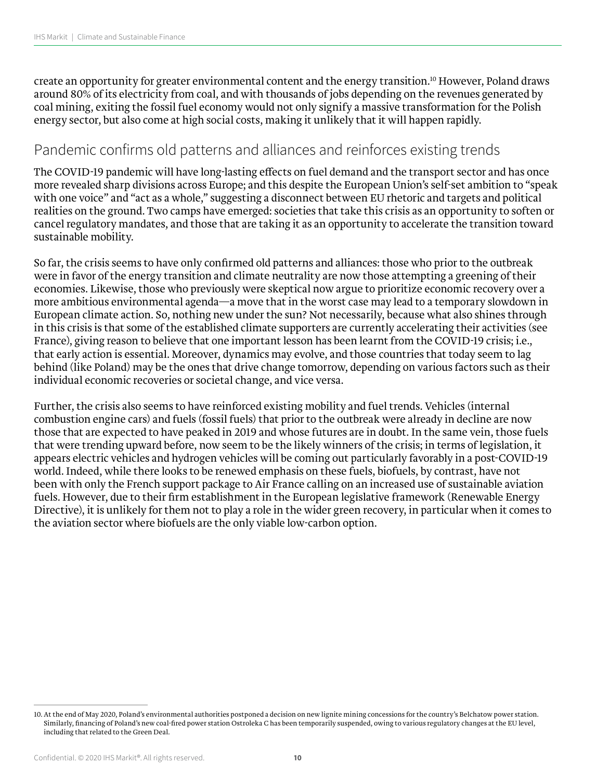create an opportunity for greater environmental content and the energy transition.10 However, Poland draws around 80% of its electricity from coal, and with thousands of jobs depending on the revenues generated by coal mining, exiting the fossil fuel economy would not only signify a massive transformation for the Polish energy sector, but also come at high social costs, making it unlikely that it will happen rapidly.

## Pandemic confirms old patterns and alliances and reinforces existing trends

The COVID-19 pandemic will have long-lasting effects on fuel demand and the transport sector and has once more revealed sharp divisions across Europe; and this despite the European Union's self-set ambition to "speak with one voice" and "act as a whole," suggesting a disconnect between EU rhetoric and targets and political realities on the ground. Two camps have emerged: societies that take this crisis as an opportunity to soften or cancel regulatory mandates, and those that are taking it as an opportunity to accelerate the transition toward sustainable mobility.

So far, the crisis seems to have only confirmed old patterns and alliances: those who prior to the outbreak were in favor of the energy transition and climate neutrality are now those attempting a greening of their economies. Likewise, those who previously were skeptical now argue to prioritize economic recovery over a more ambitious environmental agenda—a move that in the worst case may lead to a temporary slowdown in European climate action. So, nothing new under the sun? Not necessarily, because what also shines through in this crisis is that some of the established climate supporters are currently accelerating their activities (see France), giving reason to believe that one important lesson has been learnt from the COVID-19 crisis; i.e., that early action is essential. Moreover, dynamics may evolve, and those countries that today seem to lag behind (like Poland) may be the ones that drive change tomorrow, depending on various factors such as their individual economic recoveries or societal change, and vice versa.

Further, the crisis also seems to have reinforced existing mobility and fuel trends. Vehicles (internal combustion engine cars) and fuels (fossil fuels) that prior to the outbreak were already in decline are now those that are expected to have peaked in 2019 and whose futures are in doubt. In the same vein, those fuels that were trending upward before, now seem to be the likely winners of the crisis; in terms of legislation, it appears electric vehicles and hydrogen vehicles will be coming out particularly favorably in a post-COVID-19 world. Indeed, while there looks to be renewed emphasis on these fuels, biofuels, by contrast, have not been with only the French support package to Air France calling on an increased use of sustainable aviation fuels. However, due to their firm establishment in the European legislative framework (Renewable Energy Directive), it is unlikely for them not to play a role in the wider green recovery, in particular when it comes to the aviation sector where biofuels are the only viable low-carbon option.

<sup>10.</sup> At the end of May 2020, Poland's environmental authorities postponed a decision on new lignite mining concessions for the country's Belchatow power station. Similarly, financing of Poland's new coal-fired power station Ostroleka C has been temporarily suspended, owing to various regulatory changes at the EU level, including that related to the Green Deal.